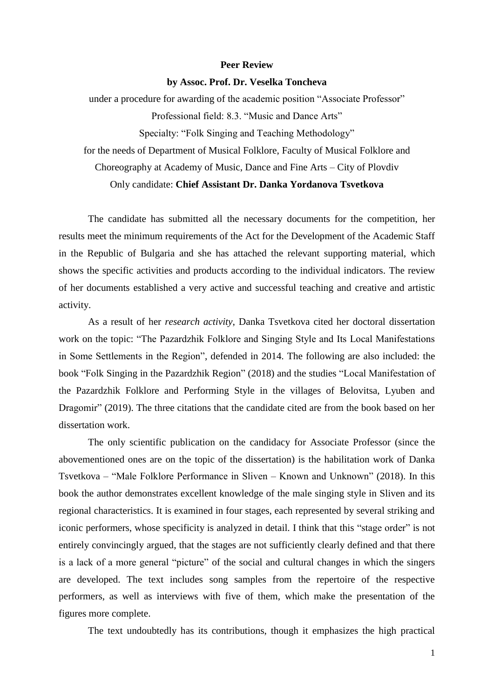## **Peer Review**

## **by Assoc. Prof. Dr. Veselka Toncheva**

under a procedure for awarding of the academic position "Associate Professor" Professional field: 8.3. "Music and Dance Arts" Specialty: "Folk Singing and Teaching Methodology"

for the needs of Department of Musical Folklore, Faculty of Musical Folklore and

Choreography at Academy of Music, Dance and Fine Arts – City of Plovdiv

## Only candidate: **Chief Assistant Dr. Danka Yordanova Tsvetkova**

The candidate has submitted all the necessary documents for the competition, her results meet the minimum requirements of the Act for the Development of the Academic Staff in the Republic of Bulgaria and she has attached the relevant supporting material, which shows the specific activities and products according to the individual indicators. The review of her documents established a very active and successful teaching and creative and artistic activity.

As a result of her *research activity*, Danka Tsvetkova cited her doctoral dissertation work on the topic: "The Pazardzhik Folklore and Singing Style and Its Local Manifestations in Some Settlements in the Region", defended in 2014. The following are also included: the book "Folk Singing in the Pazardzhik Region" (2018) and the studies "Local Manifestation of the Pazardzhik Folklore and Performing Style in the villages of Belovitsa, Lyuben and Dragomir" (2019). The three citations that the candidate cited are from the book based on her dissertation work.

The only scientific publication on the candidacy for Associate Professor (since the abovementioned ones are on the topic of the dissertation) is the habilitation work of Danka Tsvetkova – "Male Folklore Performance in Sliven – Known and Unknown" (2018). In this book the author demonstrates excellent knowledge of the male singing style in Sliven and its regional characteristics. It is examined in four stages, each represented by several striking and iconic performers, whose specificity is analyzed in detail. I think that this "stage order" is not entirely convincingly argued, that the stages are not sufficiently clearly defined and that there is a lack of a more general "picture" of the social and cultural changes in which the singers are developed. The text includes song samples from the repertoire of the respective performers, as well as interviews with five of them, which make the presentation of the figures more complete.

The text undoubtedly has its contributions, though it emphasizes the high practical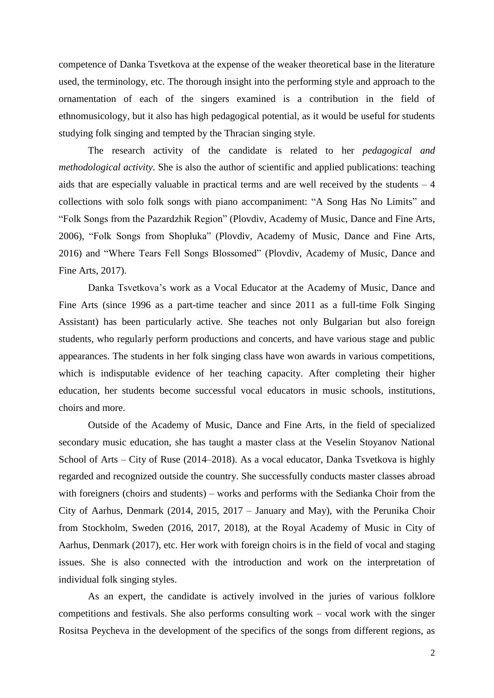competence of Danka Tsvetkova at the expense of the weaker theoretical base in the literature used, the terminology, etc. The thorough insight into the performing style and approach to the ornamentation of each of the singers examined is a contribution in the field of ethnomusicology, but it also has high pedagogical potential, as it would be useful for students studying folk singing and tempted by the Thracian singing style.

The research activity of the candidate is related to her *pedagogical and methodological activity*. She is also the author of scientific and applied publications: teaching aids that are especially valuable in practical terms and are well received by the students  $-4$ collections with solo folk songs with piano accompaniment: "A Song Has No Limits" and "Folk Songs from the Pazardzhik Region" (Plovdiv, Academy of Music, Dance and Fine Arts, 2006), "Folk Songs from Shopluka" (Plovdiv, Academy of Music, Dance and Fine Arts, 2016) and "Where Tears Fell Songs Blossomed" (Plovdiv, Academy of Music, Dance and Fine Arts, 2017).

Danka Tsvetkova's work as a Vocal Educator at the Academy of Music, Dance and Fine Arts (since 1996 as a part-time teacher and since 2011 as a full-time Folk Singing Assistant) has been particularly active. She teaches not only Bulgarian but also foreign students, who regularly perform productions and concerts, and have various stage and public appearances. The students in her folk singing class have won awards in various competitions, which is indisputable evidence of her teaching capacity. After completing their higher education, her students become successful vocal educators in music schools, institutions, choirs and more.

Outside of the Academy of Music, Dance and Fine Arts, in the field of specialized secondary music education, she has taught a master class at the Veselin Stoyanov National School of Arts – City of Ruse (2014–2018). As a vocal educator, Danka Tsvetkova is highly regarded and recognized outside the country. She successfully conducts master classes abroad with foreigners (choirs and students) – works and performs with the Sedianka Choir from the City of Aarhus, Denmark (2014, 2015, 2017 – January and May), with the Perunika Choir from Stockholm, Sweden (2016, 2017, 2018), at the Royal Academy of Music in City of Aarhus, Denmark (2017), etc. Her work with foreign choirs is in the field of vocal and staging issues. She is also connected with the introduction and work on the interpretation of individual folk singing styles.

As an expert, the candidate is actively involved in the juries of various folklore competitions and festivals. She also performs consulting work – vocal work with the singer Rositsa Peycheva in the development of the specifics of the songs from different regions, as